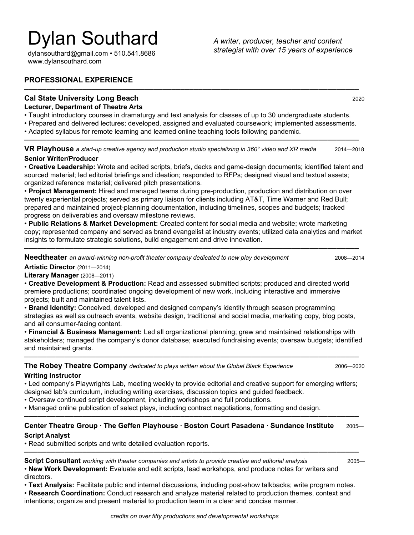# Dylan Southard

[dylansouthard@gmail.com](mailto:dylansouthard@gmail.com) • 510.541.8686 www.dylansouthard.com

*A writer, producer, teacher and content strategist with over 15 years of experience*

## **PROFESSIONAL EXPERIENCE**

## **Cal State University Long Beach**2020 **Lecturer, Department of Theatre Arts**

• Taught introductory courses in dramaturgy and text analysis for classes of up to 30 undergraduate students.

• Prepared and delivered lectures; developed, assigned and evaluated coursework; implemented assessments.

⎼⎼⎼⎼⎼⎼⎼⎼⎼⎼⎼⎼⎼⎼⎼⎼⎼⎼⎼⎼⎼⎼⎼⎼⎼⎼⎼⎼⎼⎼⎼⎼⎼⎼⎼⎼⎼⎼⎼⎼⎼⎼⎼⎼⎼⎼⎼⎼⎼⎼⎼⎼⎼⎼⎼⎼⎼⎼⎼⎼⎼⎼⎼⎼⎼⎼⎼⎼⎼⎼⎼⎼⎼⎼⎼

• Adapted syllabus for remote learning and learned online teaching tools following pandemic.

**VR Playhouse** *a start-up creative agency and production studio specializing in 360° video and XR media* 2014—2018 **Senior Writer/Producer**

⎼⎼⎼⎼⎼⎼⎼⎼⎼⎼⎼⎼⎼⎼⎼⎼⎼⎼⎼⎼⎼⎼⎼⎼⎼⎼⎼⎼⎼⎼⎼⎼⎼⎼⎼⎼⎼⎼⎼⎼⎼⎼⎼⎼⎼⎼⎼⎼⎼⎼⎼⎼⎼⎼⎼⎼⎼⎼⎼⎼⎼⎼⎼⎼⎼⎼⎼⎼⎼⎼⎼⎼⎼⎼⎼

#### • **Creative Leadership:** Wrote and edited scripts, briefs, decks and game-design documents; identified talent and sourced material; led editorial briefings and ideation; responded to RFPs; designed visual and textual assets; organized reference material; delivered pitch presentations.

• **Project Management:** Hired and managed teams during pre-production, production and distribution on over twenty experiential projects; served as primary liaison for clients including AT&T, Time Warner and Red Bull; prepared and maintained project-planning documentation, including timelines, scopes and budgets; tracked progress on deliverables and oversaw milestone reviews.

• **Public Relations & Market Development:** Created content for social media and website; wrote marketing copy; represented company and served as brand evangelist at industry events; utilized data analytics and market insights to formulate strategic solutions, build engagement and drive innovation.

⎼⎼⎼⎼⎼⎼⎼⎼⎼⎼⎼⎼⎼⎼⎼⎼⎼⎼⎼⎼⎼⎼⎼⎼⎼⎼⎼⎼⎼⎼⎼⎼⎼⎼⎼⎼⎼⎼⎼⎼⎼⎼⎼⎼⎼⎼⎼⎼⎼⎼⎼⎼⎼⎼⎼⎼⎼⎼⎼⎼⎼⎼⎼⎼⎼⎼⎼⎼⎼⎼⎼⎼⎼⎼⎼

**Needtheater** an award-winning non-profit theater company dedicated to new play development **2008—2014** 2008—2014

**Artistic Director** (2011—2014) **Literary Manager** (2008—2011)

• **Creative Development & Production:** Read and assessed submitted scripts; produced and directed world premiere productions; coordinated ongoing development of new work, including interactive and immersive projects; built and maintained talent lists.

• **Brand Identity:** Conceived, developed and designed company's identity through season programming strategies as well as outreach events, website design, traditional and social media, marketing copy, blog posts, and all consumer-facing content.

• **Financial & Business Management:** Led all organizational planning; grew and maintained relationships with stakeholders; managed the company's donor database; executed fundraising events; oversaw budgets; identified and maintained grants.

⎼⎼⎼⎼⎼⎼⎼⎼⎼⎼⎼⎼⎼⎼⎼⎼⎼⎼⎼⎼⎼⎼⎼⎼⎼⎼⎼⎼⎼⎼⎼⎼⎼⎼⎼⎼⎼⎼⎼⎼⎼⎼⎼⎼⎼⎼⎼⎼⎼⎼⎼⎼⎼⎼⎼⎼⎼⎼⎼⎼⎼⎼⎼⎼⎼⎼⎼⎼⎼⎼⎼⎼⎼⎼⎼

**The Robey Theatre Company** *dedicated to plays written about the Global Black Experience* 2006—2020 **Writing Instructor**

• Led company's Playwrights Lab, meeting weekly to provide editorial and creative support for emerging writers; designed lab's curriculum, including writing exercises, discussion topics and guided feedback.

- Oversaw continued script development, including workshops and full productions.
- Managed online publication of select plays, including contract negotiations, formatting and design.

## ⎼⎼⎼⎼⎼⎼⎼⎼⎼⎼⎼⎼⎼⎼⎼⎼⎼⎼⎼⎼⎼⎼⎼⎼⎼⎼⎼⎼⎼⎼⎼⎼⎼⎼⎼⎼⎼⎼⎼⎼⎼⎼⎼⎼⎼⎼⎼⎼⎼⎼⎼⎼⎼⎼⎼⎼⎼⎼⎼⎼⎼⎼⎼⎼⎼⎼⎼⎼⎼⎼⎼⎼⎼⎼⎼ **Center Theatre Group · The Geffen Playhouse · Boston Court Pasadena · Sundance Institute** 2005— **Script Analyst**

⎼⎼⎼⎼⎼⎼⎼⎼⎼⎼⎼⎼⎼⎼⎼⎼⎼⎼⎼⎼⎼⎼⎼⎼⎼⎼⎼⎼⎼⎼⎼⎼⎼⎼⎼⎼⎼⎼⎼⎼⎼⎼⎼⎼⎼⎼⎼⎼⎼⎼⎼⎼⎼⎼⎼⎼⎼⎼⎼⎼⎼⎼⎼⎼⎼⎼⎼⎼⎼⎼⎼⎼⎼⎼⎼

• Read submitted scripts and write detailed evaluation reports.

**Script Consultant** *working with theater companies and artists to provide creative and editorial analysis* 2005— • **New Work Development:** Evaluate and edit scripts, lead workshops, and produce notes for writers and directors.

• **Text Analysis:** Facilitate public and internal discussions, including post-show talkbacks; write program notes.

• **Research Coordination:** Conduct research and analyze material related to production themes, context and intentions; organize and present material to production team in a clear and concise manner.